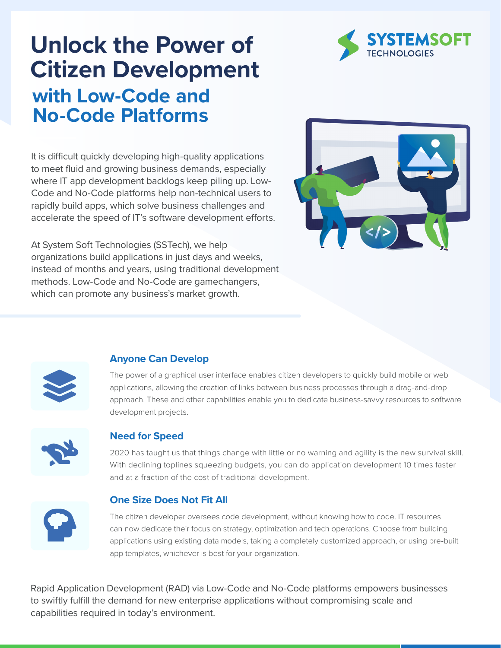# **Unlock the Power of Citizen Development with Low-Code and No-Code Platforms**

It is difficult quickly developing high-quality applications to meet fluid and growing business demands, especially where IT app development backlogs keep piling up. Low-Code and No-Code platforms help non-technical users to rapidly build apps, which solve business challenges and accelerate the speed of IT's software development efforts.

At System Soft Technologies (SSTech), we help organizations build applications in just days and weeks, instead of months and years, using traditional development methods. Low-Code and No-Code are gamechangers, which can promote any business's market growth.





### **Anyone Can Develop**

The power of a graphical user interface enables citizen developers to quickly build mobile or web applications, allowing the creation of links between business processes through a drag-and-drop approach. These and other capabilities enable you to dedicate business-savvy resources to software development projects.



### **Need for Speed**

2020 has taught us that things change with little or no warning and agility is the new survival skill. With declining toplines squeezing budgets, you can do application development 10 times faster and at a fraction of the cost of traditional development.



### **One Size Does Not Fit All**

The citizen developer oversees code development, without knowing how to code. IT resources can now dedicate their focus on strategy, optimization and tech operations. Choose from building applications using existing data models, taking a completely customized approach, or using pre-built app templates, whichever is best for your organization.

Rapid Application Development (RAD) via Low-Code and No-Code platforms empowers businesses to swiftly fulfill the demand for new enterprise applications without compromising scale and capabilities required in today's environment.